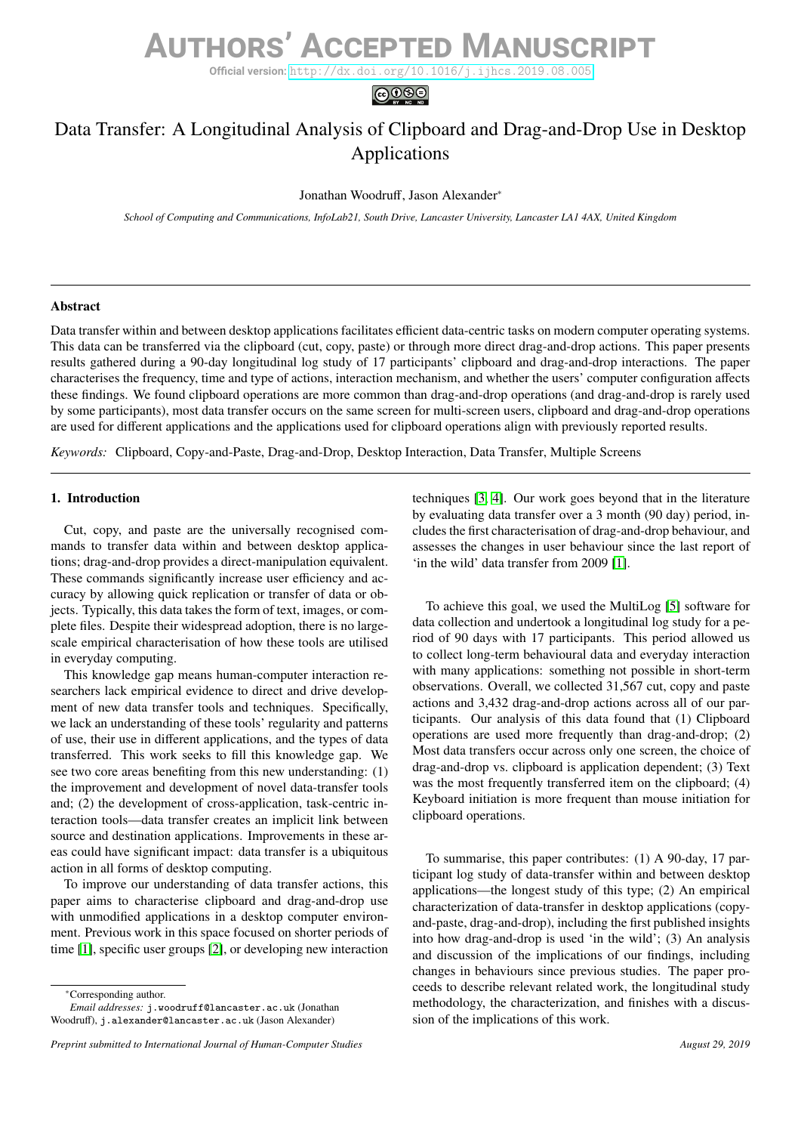# **AUTHORS' ACCEPTED MANUSCRIPT**

**Official version:** <http://dx.doi.org/10.1016/j.ijhcs.2019.08.005>

<u> (@0®©</u>

# Data Transfer: A Longitudinal Analysis of Clipboard and Drag-and-Drop Use in Desktop Applications

Jonathan Woodruff, Jason Alexander<sup>∗</sup>

*School of Computing and Communications, InfoLab21, South Drive, Lancaster University, Lancaster LA1 4AX, United Kingdom*

#### Abstract

Data transfer within and between desktop applications facilitates efficient data-centric tasks on modern computer operating systems. This data can be transferred via the clipboard (cut, copy, paste) or through more direct drag-and-drop actions. This paper presents results gathered during a 90-day longitudinal log study of 17 participants' clipboard and drag-and-drop interactions. The paper characterises the frequency, time and type of actions, interaction mechanism, and whether the users' computer configuration affects these findings. We found clipboard operations are more common than drag-and-drop operations (and drag-and-drop is rarely used by some participants), most data transfer occurs on the same screen for multi-screen users, clipboard and drag-and-drop operations are used for different applications and the applications used for clipboard operations align with previously reported results.

*Keywords:* Clipboard, Copy-and-Paste, Drag-and-Drop, Desktop Interaction, Data Transfer, Multiple Screens

#### 1. Introduction

Cut, copy, and paste are the universally recognised commands to transfer data within and between desktop applications; drag-and-drop provides a direct-manipulation equivalent. These commands significantly increase user efficiency and accuracy by allowing quick replication or transfer of data or objects. Typically, this data takes the form of text, images, or complete files. Despite their widespread adoption, there is no largescale empirical characterisation of how these tools are utilised in everyday computing.

This knowledge gap means human-computer interaction researchers lack empirical evidence to direct and drive development of new data transfer tools and techniques. Specifically, we lack an understanding of these tools' regularity and patterns of use, their use in different applications, and the types of data transferred. This work seeks to fill this knowledge gap. We see two core areas benefiting from this new understanding: (1) the improvement and development of novel data-transfer tools and; (2) the development of cross-application, task-centric interaction tools—data transfer creates an implicit link between source and destination applications. Improvements in these areas could have significant impact: data transfer is a ubiquitous action in all forms of desktop computing.

To improve our understanding of data transfer actions, this paper aims to characterise clipboard and drag-and-drop use with unmodified applications in a desktop computer environment. Previous work in this space focused on shorter periods of time [\[1\]](#page-10-0), specific user groups [\[2\]](#page-10-1), or developing new interaction

<sup>∗</sup>Corresponding author.

*Email addresses:* j.woodruff@lancaster.ac.uk (Jonathan Woodruff), j.alexander@lancaster.ac.uk (Jason Alexander)

*Preprint submitted to International Journal of Human-Computer Studies* August 29, 2019

techniques [\[3,](#page-10-2) [4\]](#page-10-3). Our work goes beyond that in the literature by evaluating data transfer over a 3 month (90 day) period, includes the first characterisation of drag-and-drop behaviour, and assesses the changes in user behaviour since the last report of 'in the wild' data transfer from 2009 [\[1\]](#page-10-0).

To achieve this goal, we used the MultiLog [\[5\]](#page-10-4) software for data collection and undertook a longitudinal log study for a period of 90 days with 17 participants. This period allowed us to collect long-term behavioural data and everyday interaction with many applications: something not possible in short-term observations. Overall, we collected 31,567 cut, copy and paste actions and 3,432 drag-and-drop actions across all of our participants. Our analysis of this data found that (1) Clipboard operations are used more frequently than drag-and-drop; (2) Most data transfers occur across only one screen, the choice of drag-and-drop vs. clipboard is application dependent; (3) Text was the most frequently transferred item on the clipboard; (4) Keyboard initiation is more frequent than mouse initiation for clipboard operations.

To summarise, this paper contributes: (1) A 90-day, 17 participant log study of data-transfer within and between desktop applications—the longest study of this type; (2) An empirical characterization of data-transfer in desktop applications (copyand-paste, drag-and-drop), including the first published insights into how drag-and-drop is used 'in the wild'; (3) An analysis and discussion of the implications of our findings, including changes in behaviours since previous studies. The paper proceeds to describe relevant related work, the longitudinal study methodology, the characterization, and finishes with a discussion of the implications of this work.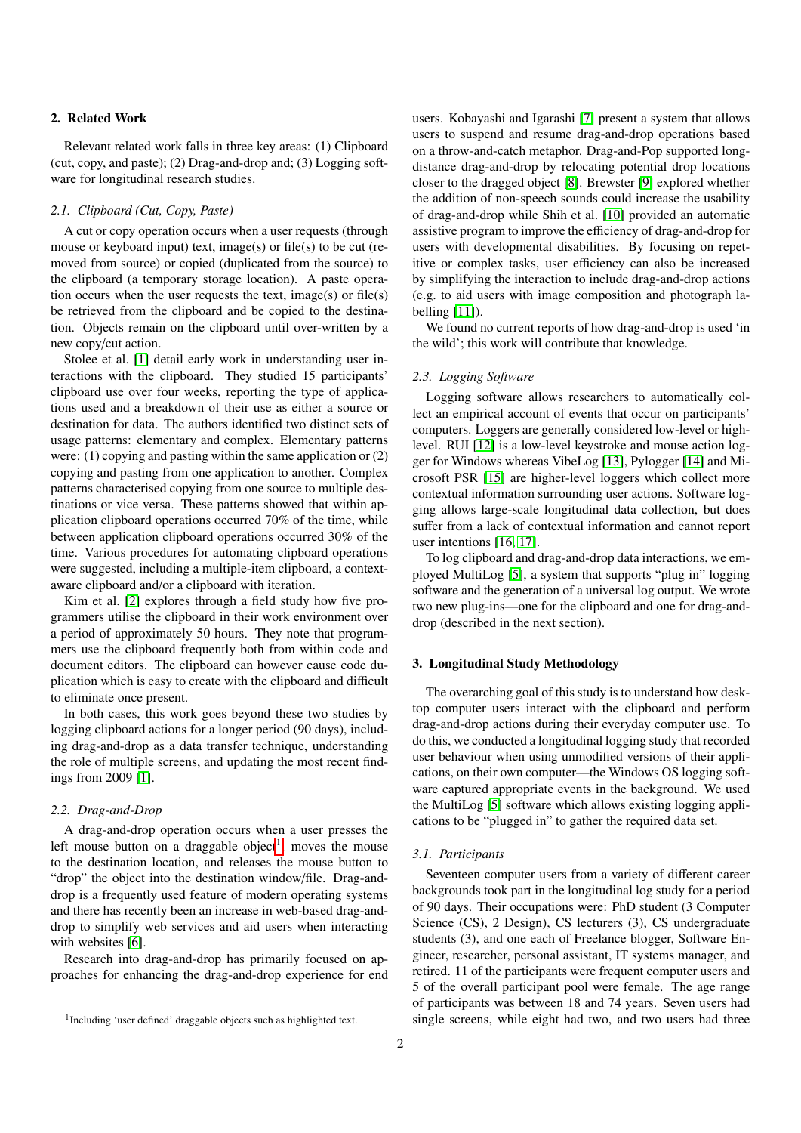# 2. Related Work

Relevant related work falls in three key areas: (1) Clipboard (cut, copy, and paste); (2) Drag-and-drop and; (3) Logging software for longitudinal research studies.

#### *2.1. Clipboard (Cut, Copy, Paste)*

A cut or copy operation occurs when a user requests (through mouse or keyboard input) text, image(s) or file(s) to be cut (removed from source) or copied (duplicated from the source) to the clipboard (a temporary storage location). A paste operation occurs when the user requests the text, image(s) or  $file(s)$ be retrieved from the clipboard and be copied to the destination. Objects remain on the clipboard until over-written by a new copy/cut action.

Stolee et al. [\[1\]](#page-10-0) detail early work in understanding user interactions with the clipboard. They studied 15 participants' clipboard use over four weeks, reporting the type of applications used and a breakdown of their use as either a source or destination for data. The authors identified two distinct sets of usage patterns: elementary and complex. Elementary patterns were: (1) copying and pasting within the same application or (2) copying and pasting from one application to another. Complex patterns characterised copying from one source to multiple destinations or vice versa. These patterns showed that within application clipboard operations occurred 70% of the time, while between application clipboard operations occurred 30% of the time. Various procedures for automating clipboard operations were suggested, including a multiple-item clipboard, a contextaware clipboard and/or a clipboard with iteration.

Kim et al. [\[2\]](#page-10-1) explores through a field study how five programmers utilise the clipboard in their work environment over a period of approximately 50 hours. They note that programmers use the clipboard frequently both from within code and document editors. The clipboard can however cause code duplication which is easy to create with the clipboard and difficult to eliminate once present.

In both cases, this work goes beyond these two studies by logging clipboard actions for a longer period (90 days), including drag-and-drop as a data transfer technique, understanding the role of multiple screens, and updating the most recent findings from 2009 [\[1\]](#page-10-0).

#### *2.2. Drag-and-Drop*

A drag-and-drop operation occurs when a user presses the left mouse button on a draggable object<sup>[1](#page-1-0)</sup>, moves the mouse to the destination location, and releases the mouse button to "drop" the object into the destination window/file. Drag-anddrop is a frequently used feature of modern operating systems and there has recently been an increase in web-based drag-anddrop to simplify web services and aid users when interacting with websites [\[6\]](#page-10-5).

Research into drag-and-drop has primarily focused on approaches for enhancing the drag-and-drop experience for end users. Kobayashi and Igarashi [\[7\]](#page-10-6) present a system that allows users to suspend and resume drag-and-drop operations based on a throw-and-catch metaphor. Drag-and-Pop supported longdistance drag-and-drop by relocating potential drop locations closer to the dragged object [\[8\]](#page-10-7). Brewster [\[9\]](#page-10-8) explored whether the addition of non-speech sounds could increase the usability of drag-and-drop while Shih et al. [\[10\]](#page-10-9) provided an automatic assistive program to improve the efficiency of drag-and-drop for users with developmental disabilities. By focusing on repetitive or complex tasks, user efficiency can also be increased by simplifying the interaction to include drag-and-drop actions (e.g. to aid users with image composition and photograph labelling [\[11\]](#page-10-10)).

We found no current reports of how drag-and-drop is used 'in the wild'; this work will contribute that knowledge.

#### *2.3. Logging Software*

Logging software allows researchers to automatically collect an empirical account of events that occur on participants' computers. Loggers are generally considered low-level or highlevel. RUI [\[12\]](#page-10-11) is a low-level keystroke and mouse action logger for Windows whereas VibeLog [\[13\]](#page-10-12), Pylogger [\[14\]](#page-10-13) and Microsoft PSR [\[15\]](#page-10-14) are higher-level loggers which collect more contextual information surrounding user actions. Software logging allows large-scale longitudinal data collection, but does suffer from a lack of contextual information and cannot report user intentions [\[16,](#page-10-15) [17\]](#page-10-16).

To log clipboard and drag-and-drop data interactions, we employed MultiLog [\[5\]](#page-10-4), a system that supports "plug in" logging software and the generation of a universal log output. We wrote two new plug-ins—one for the clipboard and one for drag-anddrop (described in the next section).

#### 3. Longitudinal Study Methodology

The overarching goal of this study is to understand how desktop computer users interact with the clipboard and perform drag-and-drop actions during their everyday computer use. To do this, we conducted a longitudinal logging study that recorded user behaviour when using unmodified versions of their applications, on their own computer—the Windows OS logging software captured appropriate events in the background. We used the MultiLog [\[5\]](#page-10-4) software which allows existing logging applications to be "plugged in" to gather the required data set.

#### *3.1. Participants*

Seventeen computer users from a variety of different career backgrounds took part in the longitudinal log study for a period of 90 days. Their occupations were: PhD student (3 Computer Science (CS), 2 Design), CS lecturers (3), CS undergraduate students (3), and one each of Freelance blogger, Software Engineer, researcher, personal assistant, IT systems manager, and retired. 11 of the participants were frequent computer users and 5 of the overall participant pool were female. The age range of participants was between 18 and 74 years. Seven users had single screens, while eight had two, and two users had three

<span id="page-1-0"></span><sup>&</sup>lt;sup>1</sup>Including 'user defined' draggable objects such as highlighted text.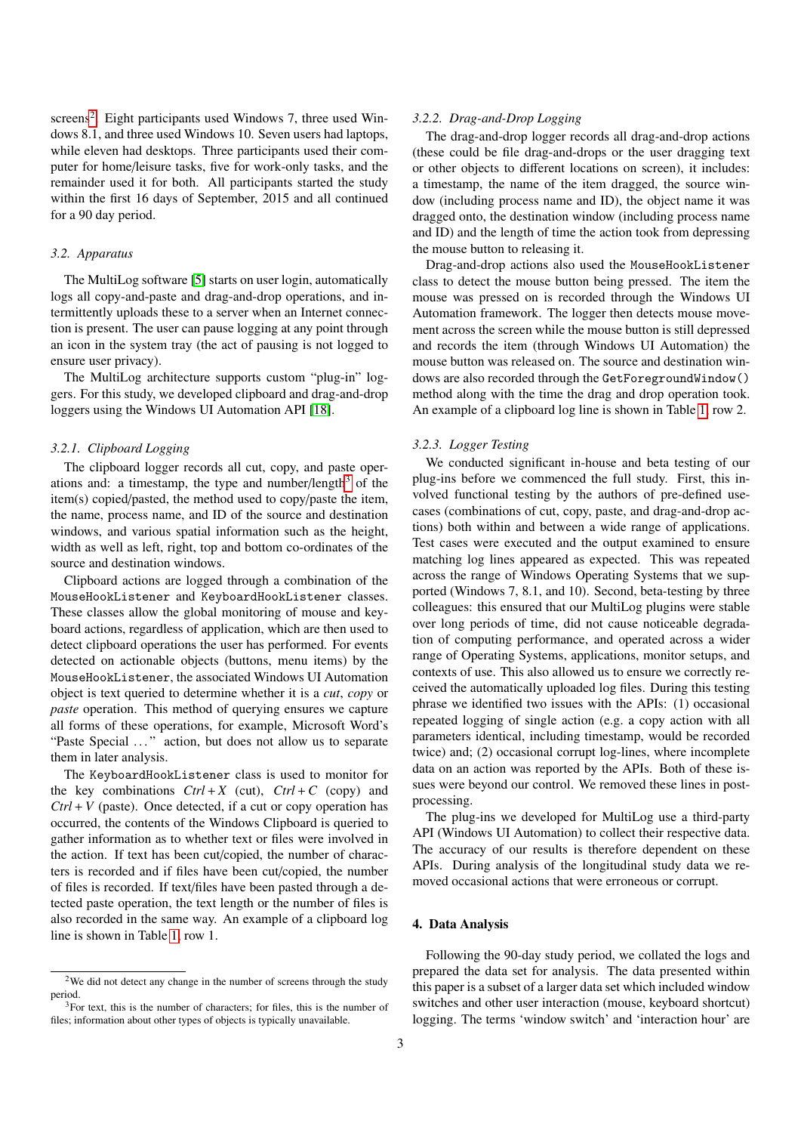screens<sup>[2](#page-2-0)</sup>. Eight participants used Windows 7, three used Windows 8.1, and three used Windows 10. Seven users had laptops, while eleven had desktops. Three participants used their computer for home/leisure tasks, five for work-only tasks, and the remainder used it for both. All participants started the study within the first 16 days of September, 2015 and all continued for a 90 day period.

#### *3.2. Apparatus*

The MultiLog software [\[5\]](#page-10-4) starts on user login, automatically logs all copy-and-paste and drag-and-drop operations, and intermittently uploads these to a server when an Internet connection is present. The user can pause logging at any point through an icon in the system tray (the act of pausing is not logged to ensure user privacy).

The MultiLog architecture supports custom "plug-in" loggers. For this study, we developed clipboard and drag-and-drop loggers using the Windows UI Automation API [\[18\]](#page-10-17).

# *3.2.1. Clipboard Logging*

The clipboard logger records all cut, copy, and paste oper-ations and: a timestamp, the type and number/length<sup>[3](#page-2-1)</sup> of the item(s) copied/pasted, the method used to copy/paste the item, the name, process name, and ID of the source and destination windows, and various spatial information such as the height, width as well as left, right, top and bottom co-ordinates of the source and destination windows.

Clipboard actions are logged through a combination of the MouseHookListener and KeyboardHookListener classes. These classes allow the global monitoring of mouse and keyboard actions, regardless of application, which are then used to detect clipboard operations the user has performed. For events detected on actionable objects (buttons, menu items) by the MouseHookListener, the associated Windows UI Automation object is text queried to determine whether it is a *cut*, *copy* or *paste* operation. This method of querying ensures we capture all forms of these operations, for example, Microsoft Word's "Paste Special ..." action, but does not allow us to separate them in later analysis.

The KeyboardHookListener class is used to monitor for the key combinations  $Ctrl + X$  (cut),  $Ctrl + C$  (copy) and  $Ctrl + V$  (paste). Once detected, if a cut or copy operation has occurred, the contents of the Windows Clipboard is queried to gather information as to whether text or files were involved in the action. If text has been cut/copied, the number of characters is recorded and if files have been cut/copied, the number of files is recorded. If text/files have been pasted through a detected paste operation, the text length or the number of files is also recorded in the same way. An example of a clipboard log line is shown in Table [1,](#page-3-0) row 1.

#### *3.2.2. Drag-and-Drop Logging*

The drag-and-drop logger records all drag-and-drop actions (these could be file drag-and-drops or the user dragging text or other objects to different locations on screen), it includes: a timestamp, the name of the item dragged, the source window (including process name and ID), the object name it was dragged onto, the destination window (including process name and ID) and the length of time the action took from depressing the mouse button to releasing it.

Drag-and-drop actions also used the MouseHookListener class to detect the mouse button being pressed. The item the mouse was pressed on is recorded through the Windows UI Automation framework. The logger then detects mouse movement across the screen while the mouse button is still depressed and records the item (through Windows UI Automation) the mouse button was released on. The source and destination windows are also recorded through the GetForegroundWindow() method along with the time the drag and drop operation took. An example of a clipboard log line is shown in Table [1,](#page-3-0) row 2.

#### *3.2.3. Logger Testing*

We conducted significant in-house and beta testing of our plug-ins before we commenced the full study. First, this involved functional testing by the authors of pre-defined usecases (combinations of cut, copy, paste, and drag-and-drop actions) both within and between a wide range of applications. Test cases were executed and the output examined to ensure matching log lines appeared as expected. This was repeated across the range of Windows Operating Systems that we supported (Windows 7, 8.1, and 10). Second, beta-testing by three colleagues: this ensured that our MultiLog plugins were stable over long periods of time, did not cause noticeable degradation of computing performance, and operated across a wider range of Operating Systems, applications, monitor setups, and contexts of use. This also allowed us to ensure we correctly received the automatically uploaded log files. During this testing phrase we identified two issues with the APIs: (1) occasional repeated logging of single action (e.g. a copy action with all parameters identical, including timestamp, would be recorded twice) and; (2) occasional corrupt log-lines, where incomplete data on an action was reported by the APIs. Both of these issues were beyond our control. We removed these lines in postprocessing.

The plug-ins we developed for MultiLog use a third-party API (Windows UI Automation) to collect their respective data. The accuracy of our results is therefore dependent on these APIs. During analysis of the longitudinal study data we removed occasional actions that were erroneous or corrupt.

# 4. Data Analysis

Following the 90-day study period, we collated the logs and prepared the data set for analysis. The data presented within this paper is a subset of a larger data set which included window switches and other user interaction (mouse, keyboard shortcut) logging. The terms 'window switch' and 'interaction hour' are

<span id="page-2-0"></span><sup>&</sup>lt;sup>2</sup>We did not detect any change in the number of screens through the study period.

<span id="page-2-1"></span><sup>&</sup>lt;sup>3</sup>For text, this is the number of characters; for files, this is the number of files; information about other types of objects is typically unavailable.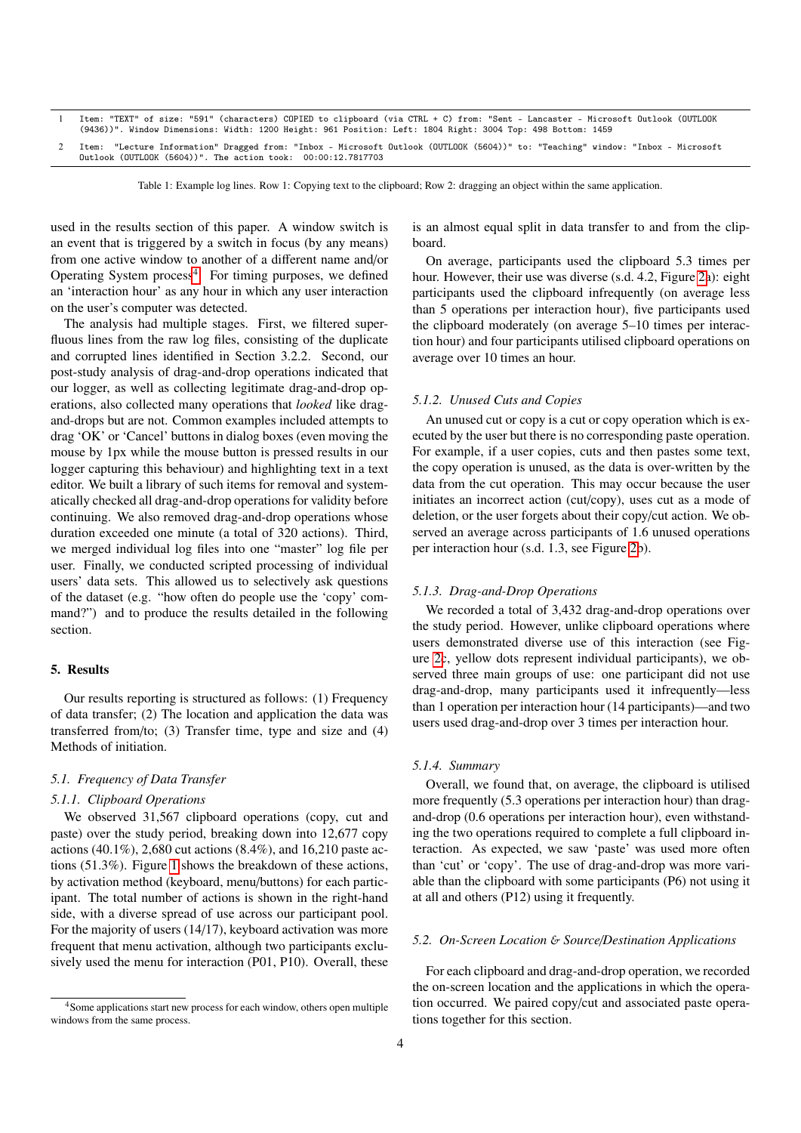| Item: "TEXT" of size: "591" (characters) COPIED to clipboard (via CTRL + C) from: "Sent - Lancaster - Microsoft Outlook (OUTLOOK   |  |
|------------------------------------------------------------------------------------------------------------------------------------|--|
| (9436))". Window Dimensions: Width: 1200 Height: 961 Position: Left: 1804 Right: 3004 Top: 498 Bottom: 1459                        |  |
| 2 Item: "Lecture Information" Dragged from: "Inbox - Microsoft Outlook (OUTLOOK (5604))" to: "Teaching" window: "Inbox - Microsoft |  |

Outlook (OUTLOOK (5604))". The action took: 00:00:12.7817703

<span id="page-3-0"></span>Table 1: Example log lines. Row 1: Copying text to the clipboard; Row 2: dragging an object within the same application.

used in the results section of this paper. A window switch is an event that is triggered by a switch in focus (by any means) from one active window to another of a different name and/or Operating System process<sup>[4](#page-3-1)</sup>. For timing purposes, we defined an 'interaction hour' as any hour in which any user interaction on the user's computer was detected.

The analysis had multiple stages. First, we filtered superfluous lines from the raw log files, consisting of the duplicate and corrupted lines identified in Section 3.2.2. Second, our post-study analysis of drag-and-drop operations indicated that our logger, as well as collecting legitimate drag-and-drop operations, also collected many operations that *looked* like dragand-drops but are not. Common examples included attempts to drag 'OK' or 'Cancel' buttons in dialog boxes (even moving the mouse by 1px while the mouse button is pressed results in our logger capturing this behaviour) and highlighting text in a text editor. We built a library of such items for removal and systematically checked all drag-and-drop operations for validity before continuing. We also removed drag-and-drop operations whose duration exceeded one minute (a total of 320 actions). Third, we merged individual log files into one "master" log file per user. Finally, we conducted scripted processing of individual users' data sets. This allowed us to selectively ask questions of the dataset (e.g. "how often do people use the 'copy' command?") and to produce the results detailed in the following section.

# 5. Results

Our results reporting is structured as follows: (1) Frequency of data transfer; (2) The location and application the data was transferred from/to; (3) Transfer time, type and size and (4) Methods of initiation.

### *5.1. Frequency of Data Transfer*

#### *5.1.1. Clipboard Operations*

We observed 31,567 clipboard operations (copy, cut and paste) over the study period, breaking down into 12,677 copy actions (40.1%), 2,680 cut actions (8.4%), and 16,210 paste actions (51.3%). Figure [1](#page-4-0) shows the breakdown of these actions, by activation method (keyboard, menu/buttons) for each participant. The total number of actions is shown in the right-hand side, with a diverse spread of use across our participant pool. For the majority of users (14/17), keyboard activation was more frequent that menu activation, although two participants exclusively used the menu for interaction (P01, P10). Overall, these

is an almost equal split in data transfer to and from the clipboard.

On average, participants used the clipboard 5.3 times per hour. However, their use was diverse (s.d. 4.2, Figure [2a](#page-5-0)): eight participants used the clipboard infrequently (on average less than 5 operations per interaction hour), five participants used the clipboard moderately (on average 5–10 times per interaction hour) and four participants utilised clipboard operations on average over 10 times an hour.

#### *5.1.2. Unused Cuts and Copies*

An unused cut or copy is a cut or copy operation which is executed by the user but there is no corresponding paste operation. For example, if a user copies, cuts and then pastes some text, the copy operation is unused, as the data is over-written by the data from the cut operation. This may occur because the user initiates an incorrect action (cut/copy), uses cut as a mode of deletion, or the user forgets about their copy/cut action. We observed an average across participants of 1.6 unused operations per interaction hour (s.d. 1.3, see Figure [2b](#page-5-0)).

#### *5.1.3. Drag-and-Drop Operations*

We recorded a total of 3,432 drag-and-drop operations over the study period. However, unlike clipboard operations where users demonstrated diverse use of this interaction (see Figure [2c](#page-5-0), yellow dots represent individual participants), we observed three main groups of use: one participant did not use drag-and-drop, many participants used it infrequently—less than 1 operation per interaction hour (14 participants)—and two users used drag-and-drop over 3 times per interaction hour.

#### *5.1.4. Summary*

Overall, we found that, on average, the clipboard is utilised more frequently (5.3 operations per interaction hour) than dragand-drop (0.6 operations per interaction hour), even withstanding the two operations required to complete a full clipboard interaction. As expected, we saw 'paste' was used more often than 'cut' or 'copy'. The use of drag-and-drop was more variable than the clipboard with some participants (P6) not using it at all and others (P12) using it frequently.

# *5.2. On-Screen Location* & *Source*/*Destination Applications*

For each clipboard and drag-and-drop operation, we recorded the on-screen location and the applications in which the operation occurred. We paired copy/cut and associated paste operations together for this section.

<span id="page-3-1"></span><sup>4</sup>Some applications start new process for each window, others open multiple windows from the same process.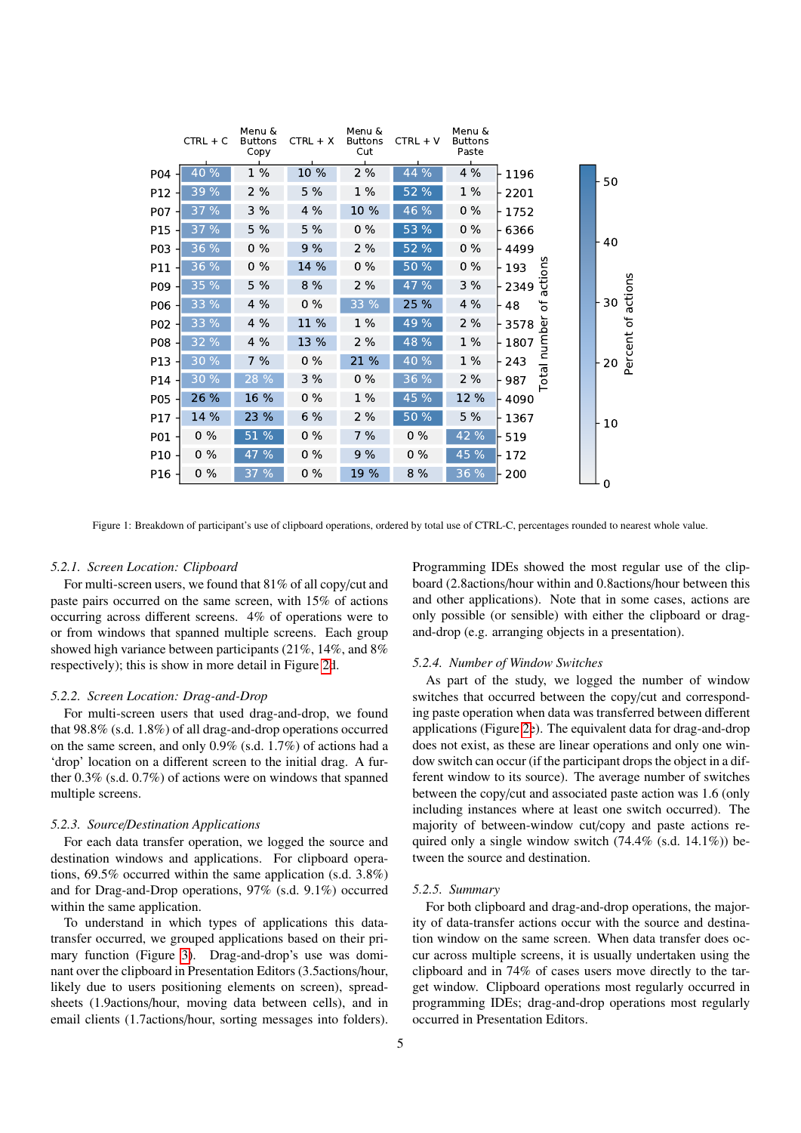|                  | $CTRL + C$ | Menu &<br><b>Buttons</b><br>Copy | $CTRL + X$ | Menu &<br><b>Buttons</b><br>Cut | $CTRL + V$     | Menu &<br><b>Buttons</b><br>Paste |                    |          |
|------------------|------------|----------------------------------|------------|---------------------------------|----------------|-----------------------------------|--------------------|----------|
| P04              | 40 %       | 1 %                              | 10 %       | 2%                              | $\frac{44}{6}$ | 4 %                               | 1196               | 50       |
| P12              | 39 %       | 2%                               | 5 %        | 1%                              | 52 %           | 1%                                | 2201               |          |
| P07              | 37 %       | 3 %                              | 4 %        | 10 %                            | 46 %           | $0\%$                             | 1752               |          |
| P15 -            | 37 %       | 5 %                              | 5 %        | $0\%$                           | 53 %           | 0 %                               | 6366               |          |
| P <sub>0</sub> 3 | 36 %       | $0\%$                            | 9%         | 2%                              | 52 %           | $0\%$                             | 4499               | 40       |
| P11              | 36 %       | $0\%$                            | 14 %       | $0\%$                           | 50%            | $0\%$                             | 193<br>S           |          |
| P09 -            | 35 %       | 5 %                              | 8 %        | 2%                              | 47 %           | 3 %                               | ă<br>2349          | actions  |
| P06              | 33 %       | 4 %                              | $0\%$      | 33 %                            | 25 %           | 4 %                               | 'ত<br>48           | 30       |
| P02              | 33 %       | 4 %                              | 11 %       | 1 %                             | 49 %           | 2 %                               | ق<br>3578          | đ        |
| $P08 -$          | 32 %       | 4 %                              | 13 %       | 2 %                             | 48 %           | 1 %                               | ξ<br>1807          | Percent  |
| P13 +            | 30 %       | 7 %                              | $0\%$      | 21 %                            | $40\%$         | 1 %                               | $\subseteq$<br>243 | 20       |
| P14              | 30 %       | 28 %                             | 3 %        | $0\%$                           | 36 %           | 2%                                | Total<br>987       |          |
| P05 -            | 26 %       | 16 %                             | $0\%$      | $1\%$                           | 45 %           | 12 %                              | 4090               |          |
| P17 -            | 14 %       | 23 %                             | 6 %        | 2%                              | 50 %           | 5 %                               | 1367               | 10       |
| $PO1 -$          | $0\%$      | 51 %                             | $0\%$      | 7 %                             | $0\%$          | 42 %                              | 519                |          |
| P10              | $0\%$      | 47 %                             | $0\%$      | 9%                              | $0\%$          | 45 %                              | 172                |          |
| P16              | $0\%$      | 37 %                             | $0\%$      | 19 %                            | 8 %            | 36 %                              | 200                | $\Omega$ |

<span id="page-4-0"></span>Figure 1: Breakdown of participant's use of clipboard operations, ordered by total use of CTRL-C, percentages rounded to nearest whole value.

# *5.2.1. Screen Location: Clipboard*

For multi-screen users, we found that 81% of all copy/cut and paste pairs occurred on the same screen, with 15% of actions occurring across different screens. 4% of operations were to or from windows that spanned multiple screens. Each group showed high variance between participants (21%, 14%, and 8% respectively); this is show in more detail in Figure [2d](#page-5-0).

#### *5.2.2. Screen Location: Drag-and-Drop*

For multi-screen users that used drag-and-drop, we found that 98.8% (s.d. 1.8%) of all drag-and-drop operations occurred on the same screen, and only 0.9% (s.d. 1.7%) of actions had a 'drop' location on a different screen to the initial drag. A further 0.3% (s.d. 0.7%) of actions were on windows that spanned multiple screens.

#### *5.2.3. Source*/*Destination Applications*

For each data transfer operation, we logged the source and destination windows and applications. For clipboard operations, 69.5% occurred within the same application (s.d. 3.8%) and for Drag-and-Drop operations, 97% (s.d. 9.1%) occurred within the same application.

To understand in which types of applications this datatransfer occurred, we grouped applications based on their primary function (Figure [3\)](#page-5-1). Drag-and-drop's use was dominant over the clipboard in Presentation Editors (3.5actions/hour, likely due to users positioning elements on screen), spreadsheets (1.9actions/hour, moving data between cells), and in email clients (1.7actions/hour, sorting messages into folders).

Programming IDEs showed the most regular use of the clipboard (2.8actions/hour within and 0.8actions/hour between this and other applications). Note that in some cases, actions are only possible (or sensible) with either the clipboard or dragand-drop (e.g. arranging objects in a presentation).

#### *5.2.4. Number of Window Switches*

As part of the study, we logged the number of window switches that occurred between the copy/cut and corresponding paste operation when data was transferred between different applications (Figure [2e](#page-5-0)). The equivalent data for drag-and-drop does not exist, as these are linear operations and only one window switch can occur (if the participant drops the object in a different window to its source). The average number of switches between the copy/cut and associated paste action was 1.6 (only including instances where at least one switch occurred). The majority of between-window cut/copy and paste actions required only a single window switch  $(74.4\%$  (s.d. 14.1%)) between the source and destination.

# *5.2.5. Summary*

For both clipboard and drag-and-drop operations, the majority of data-transfer actions occur with the source and destination window on the same screen. When data transfer does occur across multiple screens, it is usually undertaken using the clipboard and in 74% of cases users move directly to the target window. Clipboard operations most regularly occurred in programming IDEs; drag-and-drop operations most regularly occurred in Presentation Editors.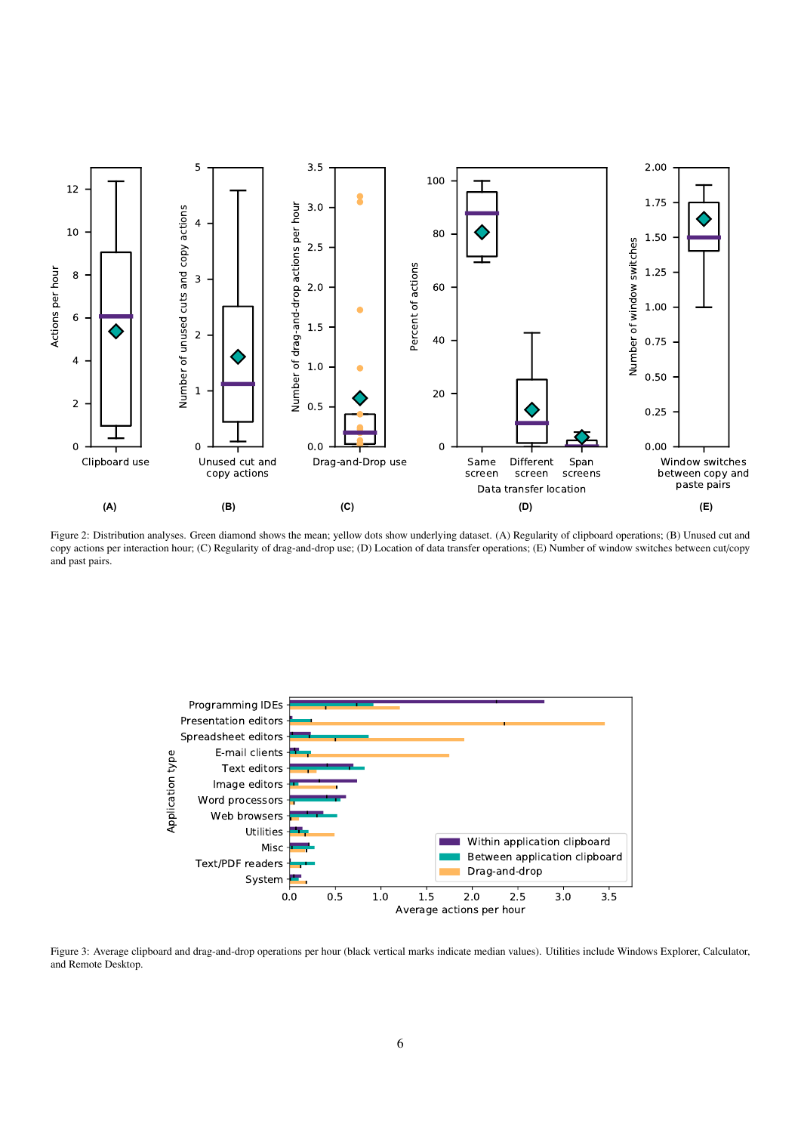

<span id="page-5-0"></span>Figure 2: Distribution analyses. Green diamond shows the mean; yellow dots show underlying dataset. (A) Regularity of clipboard operations; (B) Unused cut and copy actions per interaction hour; (C) Regularity of drag-and-drop use; (D) Location of data transfer operations; (E) Number of window switches between cut/copy and past pairs.



<span id="page-5-1"></span>Figure 3: Average clipboard and drag-and-drop operations per hour (black vertical marks indicate median values). Utilities include Windows Explorer, Calculator, and Remote Desktop.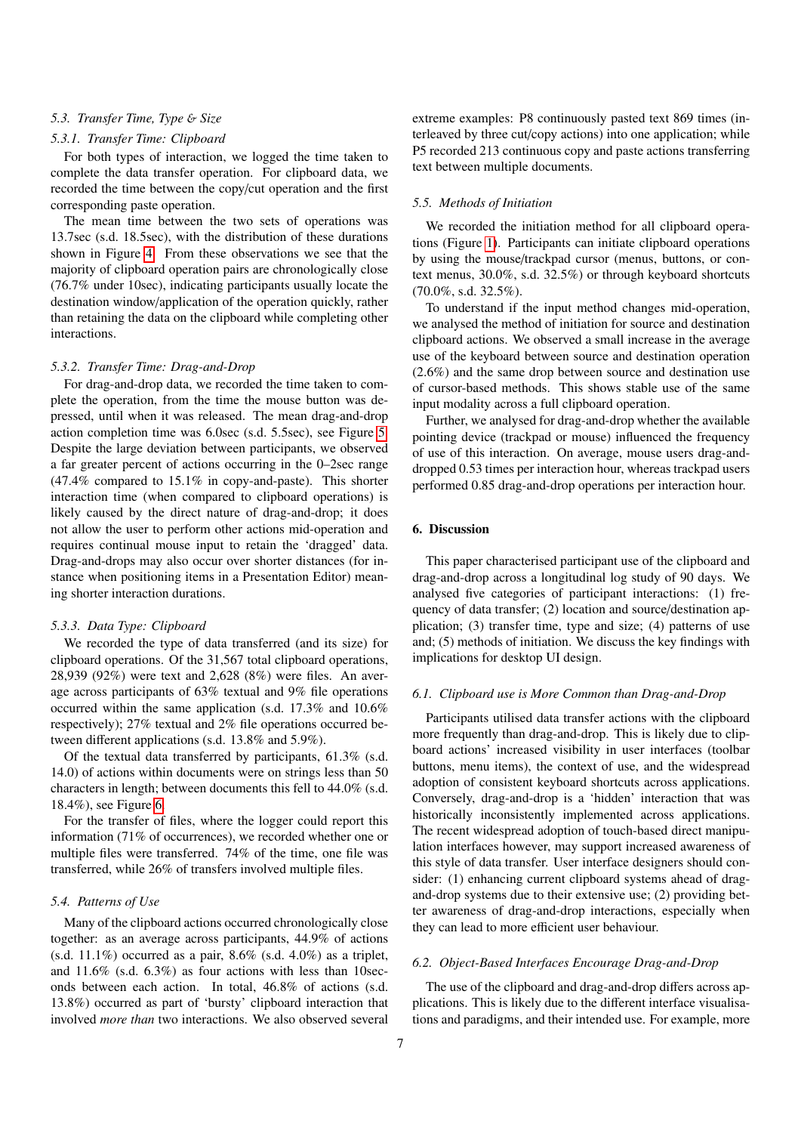# *5.3. Transfer Time, Type* & *Size*

#### *5.3.1. Transfer Time: Clipboard*

For both types of interaction, we logged the time taken to complete the data transfer operation. For clipboard data, we recorded the time between the copy/cut operation and the first corresponding paste operation.

The mean time between the two sets of operations was 13.7sec (s.d. 18.5sec), with the distribution of these durations shown in Figure [4.](#page-7-0) From these observations we see that the majority of clipboard operation pairs are chronologically close (76.7% under 10sec), indicating participants usually locate the destination window/application of the operation quickly, rather than retaining the data on the clipboard while completing other interactions.

#### *5.3.2. Transfer Time: Drag-and-Drop*

For drag-and-drop data, we recorded the time taken to complete the operation, from the time the mouse button was depressed, until when it was released. The mean drag-and-drop action completion time was 6.0sec (s.d. 5.5sec), see Figure [5.](#page-7-1) Despite the large deviation between participants, we observed a far greater percent of actions occurring in the 0–2sec range (47.4% compared to 15.1% in copy-and-paste). This shorter interaction time (when compared to clipboard operations) is likely caused by the direct nature of drag-and-drop; it does not allow the user to perform other actions mid-operation and requires continual mouse input to retain the 'dragged' data. Drag-and-drops may also occur over shorter distances (for instance when positioning items in a Presentation Editor) meaning shorter interaction durations.

#### *5.3.3. Data Type: Clipboard*

We recorded the type of data transferred (and its size) for clipboard operations. Of the 31,567 total clipboard operations, 28,939 (92%) were text and 2,628 (8%) were files. An average across participants of 63% textual and 9% file operations occurred within the same application (s.d. 17.3% and 10.6% respectively); 27% textual and 2% file operations occurred between different applications (s.d. 13.8% and 5.9%).

Of the textual data transferred by participants, 61.3% (s.d. 14.0) of actions within documents were on strings less than 50 characters in length; between documents this fell to 44.0% (s.d. 18.4%), see Figure [6.](#page-8-0)

For the transfer of files, where the logger could report this information (71% of occurrences), we recorded whether one or multiple files were transferred. 74% of the time, one file was transferred, while 26% of transfers involved multiple files.

#### *5.4. Patterns of Use*

Many of the clipboard actions occurred chronologically close together: as an average across participants, 44.9% of actions  $(s.d. 11.1\%)$  occurred as a pair,  $8.6\%$   $(s.d. 4.0\%)$  as a triplet, and 11.6% (s.d. 6.3%) as four actions with less than 10seconds between each action. In total, 46.8% of actions (s.d. 13.8%) occurred as part of 'bursty' clipboard interaction that involved *more than* two interactions. We also observed several

extreme examples: P8 continuously pasted text 869 times (interleaved by three cut/copy actions) into one application; while P5 recorded 213 continuous copy and paste actions transferring text between multiple documents.

#### *5.5. Methods of Initiation*

We recorded the initiation method for all clipboard operations (Figure [1\)](#page-4-0). Participants can initiate clipboard operations by using the mouse/trackpad cursor (menus, buttons, or context menus, 30.0%, s.d. 32.5%) or through keyboard shortcuts (70.0%, s.d. 32.5%).

To understand if the input method changes mid-operation, we analysed the method of initiation for source and destination clipboard actions. We observed a small increase in the average use of the keyboard between source and destination operation (2.6%) and the same drop between source and destination use of cursor-based methods. This shows stable use of the same input modality across a full clipboard operation.

Further, we analysed for drag-and-drop whether the available pointing device (trackpad or mouse) influenced the frequency of use of this interaction. On average, mouse users drag-anddropped 0.53 times per interaction hour, whereas trackpad users performed 0.85 drag-and-drop operations per interaction hour.

#### 6. Discussion

This paper characterised participant use of the clipboard and drag-and-drop across a longitudinal log study of 90 days. We analysed five categories of participant interactions: (1) frequency of data transfer; (2) location and source/destination application; (3) transfer time, type and size; (4) patterns of use and; (5) methods of initiation. We discuss the key findings with implications for desktop UI design.

#### *6.1. Clipboard use is More Common than Drag-and-Drop*

Participants utilised data transfer actions with the clipboard more frequently than drag-and-drop. This is likely due to clipboard actions' increased visibility in user interfaces (toolbar buttons, menu items), the context of use, and the widespread adoption of consistent keyboard shortcuts across applications. Conversely, drag-and-drop is a 'hidden' interaction that was historically inconsistently implemented across applications. The recent widespread adoption of touch-based direct manipulation interfaces however, may support increased awareness of this style of data transfer. User interface designers should consider: (1) enhancing current clipboard systems ahead of dragand-drop systems due to their extensive use; (2) providing better awareness of drag-and-drop interactions, especially when they can lead to more efficient user behaviour.

# *6.2. Object-Based Interfaces Encourage Drag-and-Drop*

The use of the clipboard and drag-and-drop differs across applications. This is likely due to the different interface visualisations and paradigms, and their intended use. For example, more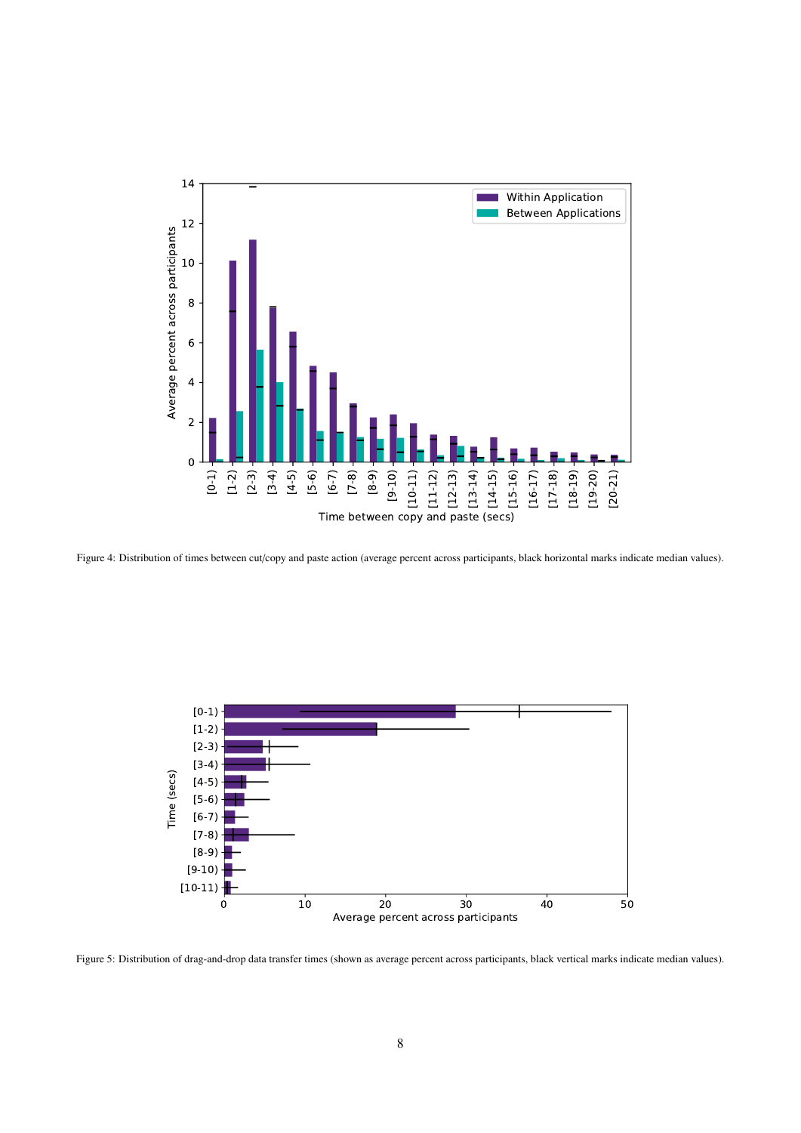

<span id="page-7-0"></span>Figure 4: Distribution of times between cut/copy and paste action (average percent across participants, black horizontal marks indicate median values).



<span id="page-7-1"></span>Figure 5: Distribution of drag-and-drop data transfer times (shown as average percent across participants, black vertical marks indicate median values).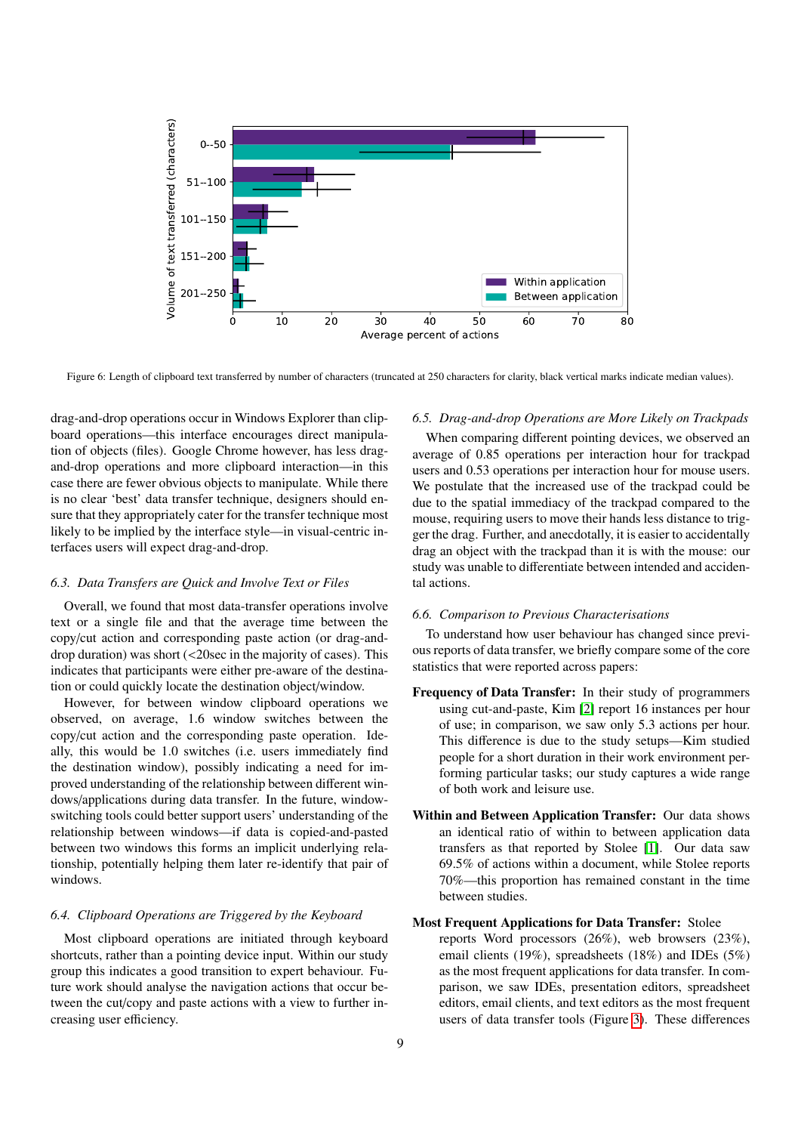

<span id="page-8-0"></span>Figure 6: Length of clipboard text transferred by number of characters (truncated at 250 characters for clarity, black vertical marks indicate median values).

drag-and-drop operations occur in Windows Explorer than clipboard operations—this interface encourages direct manipulation of objects (files). Google Chrome however, has less dragand-drop operations and more clipboard interaction—in this case there are fewer obvious objects to manipulate. While there is no clear 'best' data transfer technique, designers should ensure that they appropriately cater for the transfer technique most likely to be implied by the interface style—in visual-centric interfaces users will expect drag-and-drop.

#### *6.3. Data Transfers are Quick and Involve Text or Files*

Overall, we found that most data-transfer operations involve text or a single file and that the average time between the copy/cut action and corresponding paste action (or drag-anddrop duration) was short (<20sec in the majority of cases). This indicates that participants were either pre-aware of the destination or could quickly locate the destination object/window.

However, for between window clipboard operations we observed, on average, 1.6 window switches between the copy/cut action and the corresponding paste operation. Ideally, this would be 1.0 switches (i.e. users immediately find the destination window), possibly indicating a need for improved understanding of the relationship between different windows/applications during data transfer. In the future, windowswitching tools could better support users' understanding of the relationship between windows—if data is copied-and-pasted between two windows this forms an implicit underlying relationship, potentially helping them later re-identify that pair of windows.

#### *6.4. Clipboard Operations are Triggered by the Keyboard*

Most clipboard operations are initiated through keyboard shortcuts, rather than a pointing device input. Within our study group this indicates a good transition to expert behaviour. Future work should analyse the navigation actions that occur between the cut/copy and paste actions with a view to further increasing user efficiency.

#### *6.5. Drag-and-drop Operations are More Likely on Trackpads*

When comparing different pointing devices, we observed an average of 0.85 operations per interaction hour for trackpad users and 0.53 operations per interaction hour for mouse users. We postulate that the increased use of the trackpad could be due to the spatial immediacy of the trackpad compared to the mouse, requiring users to move their hands less distance to trigger the drag. Further, and anecdotally, it is easier to accidentally drag an object with the trackpad than it is with the mouse: our study was unable to differentiate between intended and accidental actions.

# *6.6. Comparison to Previous Characterisations*

To understand how user behaviour has changed since previous reports of data transfer, we briefly compare some of the core statistics that were reported across papers:

- Frequency of Data Transfer: In their study of programmers using cut-and-paste, Kim [\[2\]](#page-10-1) report 16 instances per hour of use; in comparison, we saw only 5.3 actions per hour. This difference is due to the study setups—Kim studied people for a short duration in their work environment performing particular tasks; our study captures a wide range of both work and leisure use.
- Within and Between Application Transfer: Our data shows an identical ratio of within to between application data transfers as that reported by Stolee [\[1\]](#page-10-0). Our data saw 69.5% of actions within a document, while Stolee reports 70%—this proportion has remained constant in the time between studies.

#### Most Frequent Applications for Data Transfer: Stolee

reports Word processors (26%), web browsers (23%), email clients (19%), spreadsheets (18%) and IDEs (5%) as the most frequent applications for data transfer. In comparison, we saw IDEs, presentation editors, spreadsheet editors, email clients, and text editors as the most frequent users of data transfer tools (Figure [3\)](#page-5-1). These differences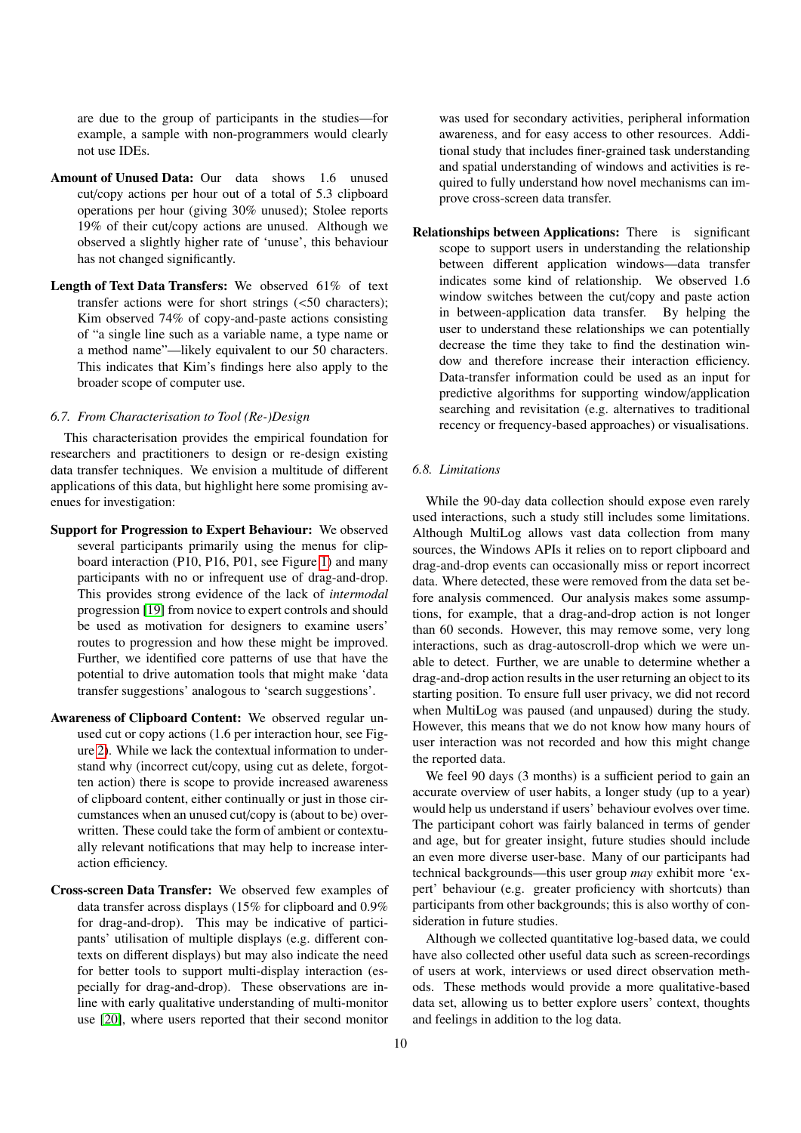are due to the group of participants in the studies—for example, a sample with non-programmers would clearly not use IDEs.

- Amount of Unused Data: Our data shows 1.6 unused cut/copy actions per hour out of a total of 5.3 clipboard operations per hour (giving 30% unused); Stolee reports 19% of their cut/copy actions are unused. Although we observed a slightly higher rate of 'unuse', this behaviour has not changed significantly.
- Length of Text Data Transfers: We observed 61% of text transfer actions were for short strings (<50 characters); Kim observed 74% of copy-and-paste actions consisting of "a single line such as a variable name, a type name or a method name"—likely equivalent to our 50 characters. This indicates that Kim's findings here also apply to the broader scope of computer use.

#### *6.7. From Characterisation to Tool (Re-)Design*

This characterisation provides the empirical foundation for researchers and practitioners to design or re-design existing data transfer techniques. We envision a multitude of different applications of this data, but highlight here some promising avenues for investigation:

- Support for Progression to Expert Behaviour: We observed several participants primarily using the menus for clipboard interaction (P10, P16, P01, see Figure [1\)](#page-4-0) and many participants with no or infrequent use of drag-and-drop. This provides strong evidence of the lack of *intermodal* progression [\[19\]](#page-10-18) from novice to expert controls and should be used as motivation for designers to examine users' routes to progression and how these might be improved. Further, we identified core patterns of use that have the potential to drive automation tools that might make 'data transfer suggestions' analogous to 'search suggestions'.
- Awareness of Clipboard Content: We observed regular unused cut or copy actions (1.6 per interaction hour, see Figure [2\)](#page-5-0). While we lack the contextual information to understand why (incorrect cut/copy, using cut as delete, forgotten action) there is scope to provide increased awareness of clipboard content, either continually or just in those circumstances when an unused cut/copy is (about to be) overwritten. These could take the form of ambient or contextually relevant notifications that may help to increase interaction efficiency.
- Cross-screen Data Transfer: We observed few examples of data transfer across displays (15% for clipboard and 0.9% for drag-and-drop). This may be indicative of participants' utilisation of multiple displays (e.g. different contexts on different displays) but may also indicate the need for better tools to support multi-display interaction (especially for drag-and-drop). These observations are inline with early qualitative understanding of multi-monitor use [\[20\]](#page-10-19), where users reported that their second monitor

was used for secondary activities, peripheral information awareness, and for easy access to other resources. Additional study that includes finer-grained task understanding and spatial understanding of windows and activities is required to fully understand how novel mechanisms can improve cross-screen data transfer.

Relationships between Applications: There is significant scope to support users in understanding the relationship between different application windows—data transfer indicates some kind of relationship. We observed 1.6 window switches between the cut/copy and paste action in between-application data transfer. By helping the user to understand these relationships we can potentially decrease the time they take to find the destination window and therefore increase their interaction efficiency. Data-transfer information could be used as an input for predictive algorithms for supporting window/application searching and revisitation (e.g. alternatives to traditional recency or frequency-based approaches) or visualisations.

# *6.8. Limitations*

While the 90-day data collection should expose even rarely used interactions, such a study still includes some limitations. Although MultiLog allows vast data collection from many sources, the Windows APIs it relies on to report clipboard and drag-and-drop events can occasionally miss or report incorrect data. Where detected, these were removed from the data set before analysis commenced. Our analysis makes some assumptions, for example, that a drag-and-drop action is not longer than 60 seconds. However, this may remove some, very long interactions, such as drag-autoscroll-drop which we were unable to detect. Further, we are unable to determine whether a drag-and-drop action results in the user returning an object to its starting position. To ensure full user privacy, we did not record when MultiLog was paused (and unpaused) during the study. However, this means that we do not know how many hours of user interaction was not recorded and how this might change the reported data.

We feel 90 days (3 months) is a sufficient period to gain an accurate overview of user habits, a longer study (up to a year) would help us understand if users' behaviour evolves over time. The participant cohort was fairly balanced in terms of gender and age, but for greater insight, future studies should include an even more diverse user-base. Many of our participants had technical backgrounds—this user group *may* exhibit more 'expert' behaviour (e.g. greater proficiency with shortcuts) than participants from other backgrounds; this is also worthy of consideration in future studies.

Although we collected quantitative log-based data, we could have also collected other useful data such as screen-recordings of users at work, interviews or used direct observation methods. These methods would provide a more qualitative-based data set, allowing us to better explore users' context, thoughts and feelings in addition to the log data.